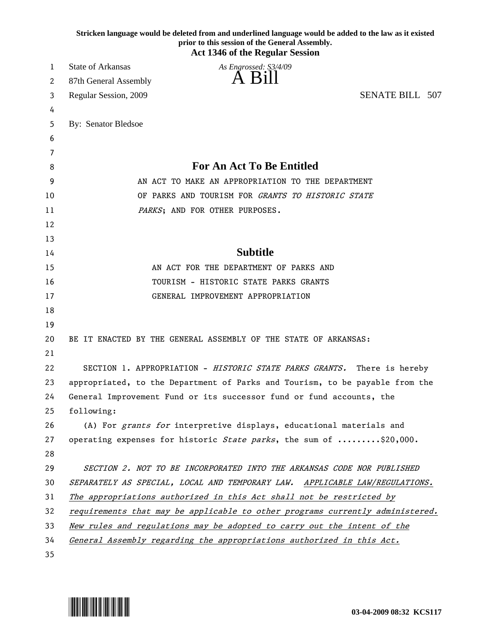|          | Stricken language would be deleted from and underlined language would be added to the law as it existed<br>prior to this session of the General Assembly. |
|----------|-----------------------------------------------------------------------------------------------------------------------------------------------------------|
|          | <b>Act 1346 of the Regular Session</b>                                                                                                                    |
| 1        | <b>State of Arkansas</b><br>As Engrossed: S3/4/09                                                                                                         |
| 2        | A Bill<br>87th General Assembly                                                                                                                           |
| 3        | <b>SENATE BILL 507</b><br>Regular Session, 2009                                                                                                           |
| 4        |                                                                                                                                                           |
| 5        | By: Senator Bledsoe                                                                                                                                       |
| 6        |                                                                                                                                                           |
| 7        |                                                                                                                                                           |
| 8        | <b>For An Act To Be Entitled</b>                                                                                                                          |
| 9        | AN ACT TO MAKE AN APPROPRIATION TO THE DEPARTMENT                                                                                                         |
| 10       | OF PARKS AND TOURISM FOR GRANTS TO HISTORIC STATE                                                                                                         |
| 11       | PARKS; AND FOR OTHER PURPOSES.                                                                                                                            |
| 12       |                                                                                                                                                           |
| 13       |                                                                                                                                                           |
| 14       | <b>Subtitle</b>                                                                                                                                           |
| 15       | AN ACT FOR THE DEPARTMENT OF PARKS AND                                                                                                                    |
| 16       | TOURISM - HISTORIC STATE PARKS GRANTS                                                                                                                     |
| 17       | GENERAL IMPROVEMENT APPROPRIATION                                                                                                                         |
| 18       |                                                                                                                                                           |
| 19       |                                                                                                                                                           |
| 20       | BE IT ENACTED BY THE GENERAL ASSEMBLY OF THE STATE OF ARKANSAS:                                                                                           |
| 21       |                                                                                                                                                           |
| 22       | SECTION 1. APPROPRIATION - HISTORIC STATE PARKS GRANTS. There is hereby                                                                                   |
| 23       | appropriated, to the Department of Parks and Tourism, to be payable from the                                                                              |
| 24       | General Improvement Fund or its successor fund or fund accounts, the                                                                                      |
| 25       | following:                                                                                                                                                |
| 26       | (A) For grants for interpretive displays, educational materials and                                                                                       |
| 27       | operating expenses for historic State parks, the sum of \$20,000.                                                                                         |
| 28       |                                                                                                                                                           |
| 29       | SECTION 2. NOT TO BE INCORPORATED INTO THE ARKANSAS CODE NOR PUBLISHED                                                                                    |
| 30       | SEPARATELY AS SPECIAL, LOCAL AND TEMPORARY LAW. APPLICABLE LAW/REGULATIONS.                                                                               |
| 31       | The appropriations authorized in this Act shall not be restricted by                                                                                      |
| 32<br>33 | requirements that may be applicable to other programs currently administered.                                                                             |
|          | New rules and regulations may be adopted to carry out the intent of the                                                                                   |
|          |                                                                                                                                                           |
| 34<br>35 | General Assembly regarding the appropriations authorized in this Act.                                                                                     |

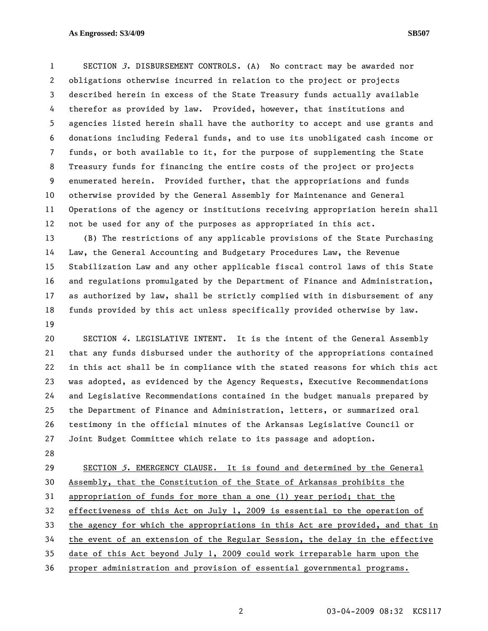## **As Engrossed: S3/4/09 SB507**

1 SECTION 3. DISBURSEMENT CONTROLS. (A) No contract may be awarded nor 2 obligations otherwise incurred in relation to the project or projects 3 described herein in excess of the State Treasury funds actually available 4 therefor as provided by law. Provided, however, that institutions and 5 agencies listed herein shall have the authority to accept and use grants and 6 donations including Federal funds, and to use its unobligated cash income or 7 funds, or both available to it, for the purpose of supplementing the State 8 Treasury funds for financing the entire costs of the project or projects 9 enumerated herein. Provided further, that the appropriations and funds 10 otherwise provided by the General Assembly for Maintenance and General 11 Operations of the agency or institutions receiving appropriation herein shall 12 not be used for any of the purposes as appropriated in this act.

13 (B) The restrictions of any applicable provisions of the State Purchasing 14 Law, the General Accounting and Budgetary Procedures Law, the Revenue 15 Stabilization Law and any other applicable fiscal control laws of this State 16 and regulations promulgated by the Department of Finance and Administration, 17 as authorized by law, shall be strictly complied with in disbursement of any 18 funds provided by this act unless specifically provided otherwise by law. 19

20 SECTION 4. LEGISLATIVE INTENT. It is the intent of the General Assembly 21 that any funds disbursed under the authority of the appropriations contained 22 in this act shall be in compliance with the stated reasons for which this act 23 was adopted, as evidenced by the Agency Requests, Executive Recommendations 24 and Legislative Recommendations contained in the budget manuals prepared by 25 the Department of Finance and Administration, letters, or summarized oral 26 testimony in the official minutes of the Arkansas Legislative Council or 27 Joint Budget Committee which relate to its passage and adoption.

28

29 SECTION 5. EMERGENCY CLAUSE. It is found and determined by the General 30 Assembly, that the Constitution of the State of Arkansas prohibits the 31 appropriation of funds for more than a one (1) year period; that the 32 effectiveness of this Act on July 1, 2009 is essential to the operation of 33 the agency for which the appropriations in this Act are provided, and that in 34 the event of an extension of the Regular Session, the delay in the effective 35 date of this Act beyond July 1, 2009 could work irreparable harm upon the 36 proper administration and provision of essential governmental programs.